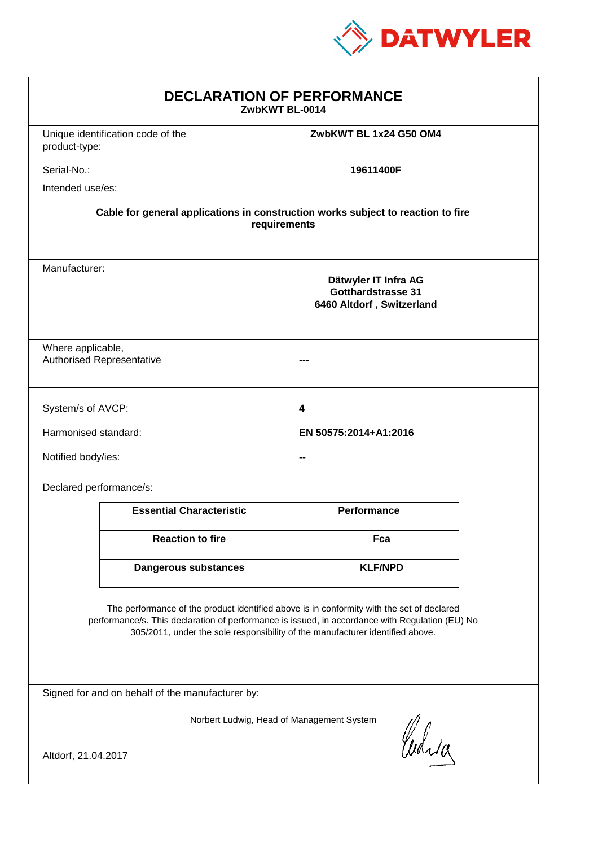

| <b>DECLARATION OF PERFORMANCE</b><br>ZwbKWT BL-0014                                                                                                                                                                                                                           |                                   |                                                                                |  |  |
|-------------------------------------------------------------------------------------------------------------------------------------------------------------------------------------------------------------------------------------------------------------------------------|-----------------------------------|--------------------------------------------------------------------------------|--|--|
| product-type:                                                                                                                                                                                                                                                                 | Unique identification code of the | ZwbKWT BL 1x24 G50 OM4                                                         |  |  |
| Serial-No.:                                                                                                                                                                                                                                                                   |                                   | 19611400F                                                                      |  |  |
| Intended use/es:                                                                                                                                                                                                                                                              |                                   |                                                                                |  |  |
| Cable for general applications in construction works subject to reaction to fire<br>requirements                                                                                                                                                                              |                                   |                                                                                |  |  |
| Manufacturer:                                                                                                                                                                                                                                                                 |                                   | Dätwyler IT Infra AG<br><b>Gotthardstrasse 31</b><br>6460 Altdorf, Switzerland |  |  |
| Where applicable,                                                                                                                                                                                                                                                             | <b>Authorised Representative</b>  |                                                                                |  |  |
| System/s of AVCP:                                                                                                                                                                                                                                                             |                                   | 4                                                                              |  |  |
| Harmonised standard:                                                                                                                                                                                                                                                          |                                   | EN 50575:2014+A1:2016                                                          |  |  |
| Notified body/ies:                                                                                                                                                                                                                                                            |                                   |                                                                                |  |  |
| Declared performance/s:                                                                                                                                                                                                                                                       |                                   |                                                                                |  |  |
|                                                                                                                                                                                                                                                                               | <b>Essential Characteristic</b>   | <b>Performance</b>                                                             |  |  |
|                                                                                                                                                                                                                                                                               | <b>Reaction to fire</b>           | Fca                                                                            |  |  |
|                                                                                                                                                                                                                                                                               | Dangerous substances              | <b>KLF/NPD</b>                                                                 |  |  |
| The performance of the product identified above is in conformity with the set of declared<br>performance/s. This declaration of performance is issued, in accordance with Regulation (EU) No<br>305/2011, under the sole responsibility of the manufacturer identified above. |                                   |                                                                                |  |  |
| Signed for and on behalf of the manufacturer by:                                                                                                                                                                                                                              |                                   |                                                                                |  |  |
| Norbert Ludwig, Head of Management System<br>Which                                                                                                                                                                                                                            |                                   |                                                                                |  |  |
| Altdorf, 21.04.2017                                                                                                                                                                                                                                                           |                                   |                                                                                |  |  |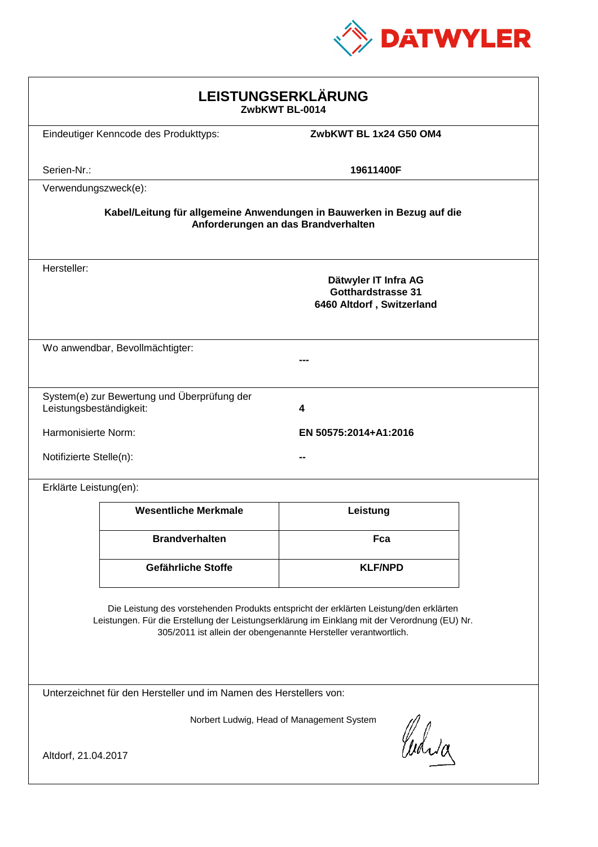

| LEISTUNGSERKLÄRUNG<br>ZwbKWT BL-0014                                                                                                                                                                                                                       |                                             |                                                                                |  |  |
|------------------------------------------------------------------------------------------------------------------------------------------------------------------------------------------------------------------------------------------------------------|---------------------------------------------|--------------------------------------------------------------------------------|--|--|
|                                                                                                                                                                                                                                                            | Eindeutiger Kenncode des Produkttyps:       | ZwbKWT BL 1x24 G50 OM4                                                         |  |  |
| Serien-Nr.:                                                                                                                                                                                                                                                |                                             | 19611400F                                                                      |  |  |
| Verwendungszweck(e):                                                                                                                                                                                                                                       |                                             |                                                                                |  |  |
| Kabel/Leitung für allgemeine Anwendungen in Bauwerken in Bezug auf die<br>Anforderungen an das Brandverhalten                                                                                                                                              |                                             |                                                                                |  |  |
| Hersteller:                                                                                                                                                                                                                                                |                                             | Dätwyler IT Infra AG<br><b>Gotthardstrasse 31</b><br>6460 Altdorf, Switzerland |  |  |
|                                                                                                                                                                                                                                                            | Wo anwendbar, Bevollmächtigter:             |                                                                                |  |  |
| Leistungsbeständigkeit:                                                                                                                                                                                                                                    | System(e) zur Bewertung und Überprüfung der | 4                                                                              |  |  |
| Harmonisierte Norm:<br>EN 50575:2014+A1:2016                                                                                                                                                                                                               |                                             |                                                                                |  |  |
| Notifizierte Stelle(n):                                                                                                                                                                                                                                    |                                             |                                                                                |  |  |
| Erklärte Leistung(en):                                                                                                                                                                                                                                     |                                             |                                                                                |  |  |
|                                                                                                                                                                                                                                                            | <b>Wesentliche Merkmale</b>                 | Leistung                                                                       |  |  |
|                                                                                                                                                                                                                                                            | <b>Brandverhalten</b>                       | Fca                                                                            |  |  |
|                                                                                                                                                                                                                                                            | <b>Gefährliche Stoffe</b>                   | <b>KLF/NPD</b>                                                                 |  |  |
| Die Leistung des vorstehenden Produkts entspricht der erklärten Leistung/den erklärten<br>Leistungen. Für die Erstellung der Leistungserklärung im Einklang mit der Verordnung (EU) Nr.<br>305/2011 ist allein der obengenannte Hersteller verantwortlich. |                                             |                                                                                |  |  |
| Unterzeichnet für den Hersteller und im Namen des Herstellers von:                                                                                                                                                                                         |                                             |                                                                                |  |  |
| Norbert Ludwig, Head of Management System<br>Curia<br>Altdorf, 21.04.2017                                                                                                                                                                                  |                                             |                                                                                |  |  |
|                                                                                                                                                                                                                                                            |                                             |                                                                                |  |  |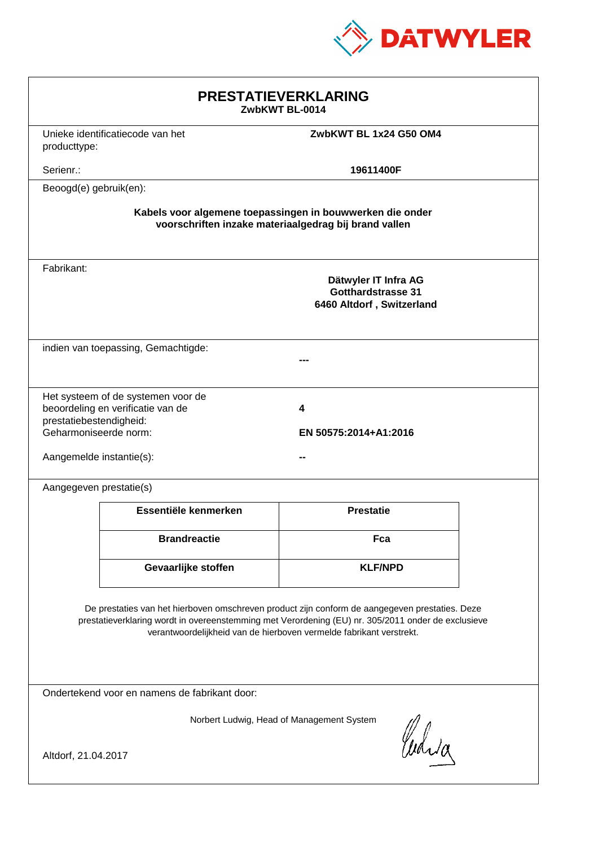

| <b>PRESTATIEVERKLARING</b><br>ZwbKWT BL-0014                                                                                                                                                                                                                                |                                  |                                                                                |  |  |
|-----------------------------------------------------------------------------------------------------------------------------------------------------------------------------------------------------------------------------------------------------------------------------|----------------------------------|--------------------------------------------------------------------------------|--|--|
| producttype:                                                                                                                                                                                                                                                                | Unieke identificatiecode van het | ZwbKWT BL 1x24 G50 OM4                                                         |  |  |
| Serienr.:                                                                                                                                                                                                                                                                   |                                  | 19611400F                                                                      |  |  |
| Beoogd(e) gebruik(en):                                                                                                                                                                                                                                                      |                                  |                                                                                |  |  |
| Kabels voor algemene toepassingen in bouwwerken die onder<br>voorschriften inzake materiaalgedrag bij brand vallen                                                                                                                                                          |                                  |                                                                                |  |  |
| Fabrikant:                                                                                                                                                                                                                                                                  |                                  | Dätwyler IT Infra AG<br><b>Gotthardstrasse 31</b><br>6460 Altdorf, Switzerland |  |  |
| indien van toepassing, Gemachtigde:                                                                                                                                                                                                                                         |                                  |                                                                                |  |  |
| Het systeem of de systemen voor de<br>beoordeling en verificatie van de<br>4<br>prestatiebestendigheid:<br>Geharmoniseerde norm:<br>EN 50575:2014+A1:2016<br>Aangemelde instantie(s):                                                                                       |                                  |                                                                                |  |  |
| Aangegeven prestatie(s)                                                                                                                                                                                                                                                     |                                  |                                                                                |  |  |
|                                                                                                                                                                                                                                                                             | Essentiële kenmerken             | <b>Prestatie</b>                                                               |  |  |
|                                                                                                                                                                                                                                                                             | <b>Brandreactie</b>              | Fca                                                                            |  |  |
|                                                                                                                                                                                                                                                                             | Gevaarlijke stoffen              | <b>KLF/NPD</b>                                                                 |  |  |
| De prestaties van het hierboven omschreven product zijn conform de aangegeven prestaties. Deze<br>prestatieverklaring wordt in overeenstemming met Verordening (EU) nr. 305/2011 onder de exclusieve<br>verantwoordelijkheid van de hierboven vermelde fabrikant verstrekt. |                                  |                                                                                |  |  |
| Ondertekend voor en namens de fabrikant door:                                                                                                                                                                                                                               |                                  |                                                                                |  |  |
| Norbert Ludwig, Head of Management System<br>Waja<br>Altdorf, 21.04.2017                                                                                                                                                                                                    |                                  |                                                                                |  |  |
|                                                                                                                                                                                                                                                                             |                                  |                                                                                |  |  |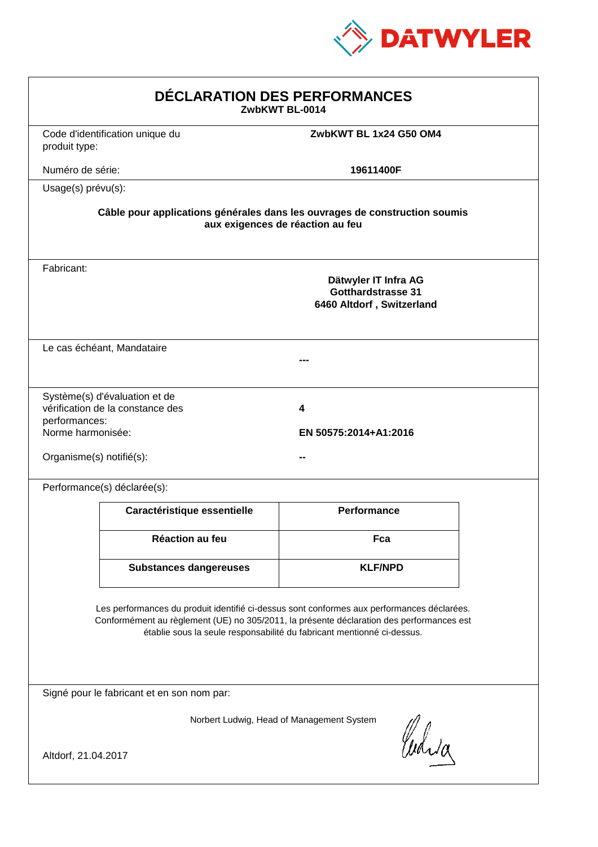

| <b>DÉCLARATION DES PERFORMANCES</b><br>ZwbKWT BL-0014                                                                                                                                                                                                            |                                 |                                                                                |  |  |
|------------------------------------------------------------------------------------------------------------------------------------------------------------------------------------------------------------------------------------------------------------------|---------------------------------|--------------------------------------------------------------------------------|--|--|
| produit type:                                                                                                                                                                                                                                                    | Code d'identification unique du | ZwbKWT BL 1x24 G50 OM4                                                         |  |  |
| Numéro de série:                                                                                                                                                                                                                                                 |                                 | 19611400F                                                                      |  |  |
|                                                                                                                                                                                                                                                                  | Usage(s) prévu(s):              |                                                                                |  |  |
| Câble pour applications générales dans les ouvrages de construction soumis<br>aux exigences de réaction au feu                                                                                                                                                   |                                 |                                                                                |  |  |
| Fabricant:                                                                                                                                                                                                                                                       |                                 | Dätwyler IT Infra AG<br><b>Gotthardstrasse 31</b><br>6460 Altdorf, Switzerland |  |  |
|                                                                                                                                                                                                                                                                  | Le cas échéant, Mandataire      |                                                                                |  |  |
| Système(s) d'évaluation et de<br>vérification de la constance des<br>4<br>performances:<br>Norme harmonisée:<br>EN 50575:2014+A1:2016<br>Organisme(s) notifié(s):                                                                                                |                                 |                                                                                |  |  |
|                                                                                                                                                                                                                                                                  | Performance(s) déclarée(s):     |                                                                                |  |  |
|                                                                                                                                                                                                                                                                  | Caractéristique essentielle     | <b>Performance</b>                                                             |  |  |
|                                                                                                                                                                                                                                                                  | Réaction au feu                 | Fca                                                                            |  |  |
|                                                                                                                                                                                                                                                                  | <b>Substances dangereuses</b>   | <b>KLF/NPD</b>                                                                 |  |  |
| Les performances du produit identifié ci-dessus sont conformes aux performances déclarées.<br>Conformément au règlement (UE) no 305/2011, la présente déclaration des performances est<br>établie sous la seule responsabilité du fabricant mentionné ci-dessus. |                                 |                                                                                |  |  |
| Signé pour le fabricant et en son nom par:                                                                                                                                                                                                                       |                                 |                                                                                |  |  |
| Norbert Ludwig, Head of Management System<br>Whia<br>Altdorf, 21.04.2017                                                                                                                                                                                         |                                 |                                                                                |  |  |
|                                                                                                                                                                                                                                                                  |                                 |                                                                                |  |  |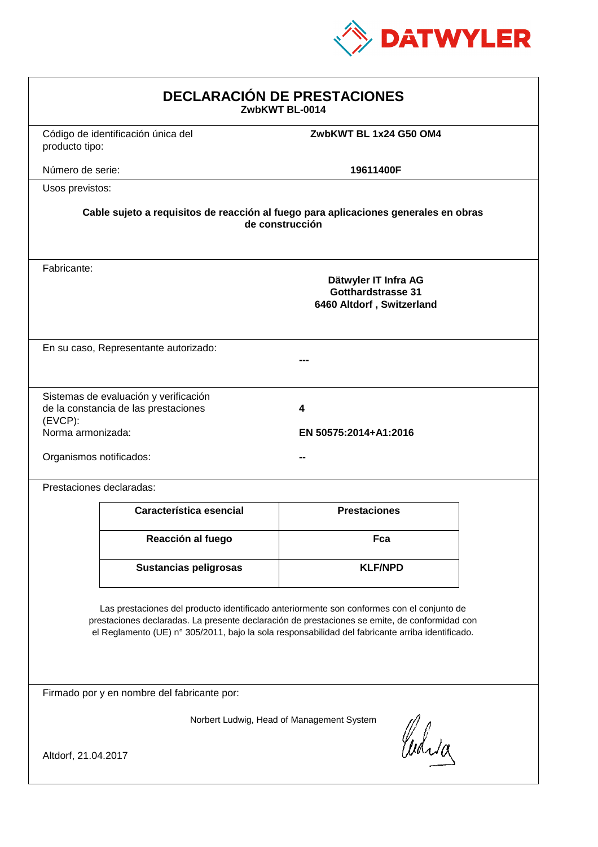

| <b>DECLARACIÓN DE PRESTACIONES</b><br>ZwbKWT BL-0014                                                                                                                                                                                                                                           |                                                                               |                                                                                |  |  |
|------------------------------------------------------------------------------------------------------------------------------------------------------------------------------------------------------------------------------------------------------------------------------------------------|-------------------------------------------------------------------------------|--------------------------------------------------------------------------------|--|--|
| producto tipo:                                                                                                                                                                                                                                                                                 | Código de identificación única del                                            | ZwbKWT BL 1x24 G50 OM4                                                         |  |  |
| Número de serie:                                                                                                                                                                                                                                                                               |                                                                               | 19611400F                                                                      |  |  |
| Usos previstos:                                                                                                                                                                                                                                                                                |                                                                               |                                                                                |  |  |
| Cable sujeto a requisitos de reacción al fuego para aplicaciones generales en obras<br>de construcción                                                                                                                                                                                         |                                                                               |                                                                                |  |  |
| Fabricante:                                                                                                                                                                                                                                                                                    |                                                                               | Dätwyler IT Infra AG<br><b>Gotthardstrasse 31</b><br>6460 Altdorf, Switzerland |  |  |
| En su caso, Representante autorizado:                                                                                                                                                                                                                                                          |                                                                               |                                                                                |  |  |
| $(EVCP)$ :<br>Norma armonizada:<br>Organismos notificados:                                                                                                                                                                                                                                     | Sistemas de evaluación y verificación<br>de la constancia de las prestaciones | 4<br>EN 50575:2014+A1:2016                                                     |  |  |
| Prestaciones declaradas:                                                                                                                                                                                                                                                                       |                                                                               |                                                                                |  |  |
|                                                                                                                                                                                                                                                                                                | Característica esencial                                                       | <b>Prestaciones</b>                                                            |  |  |
|                                                                                                                                                                                                                                                                                                | Reacción al fuego                                                             | Fca                                                                            |  |  |
|                                                                                                                                                                                                                                                                                                | <b>Sustancias peligrosas</b>                                                  | <b>KLF/NPD</b>                                                                 |  |  |
| Las prestaciones del producto identificado anteriormente son conformes con el conjunto de<br>prestaciones declaradas. La presente declaración de prestaciones se emite, de conformidad con<br>el Reglamento (UE) nº 305/2011, bajo la sola responsabilidad del fabricante arriba identificado. |                                                                               |                                                                                |  |  |
| Firmado por y en nombre del fabricante por:                                                                                                                                                                                                                                                    |                                                                               |                                                                                |  |  |
| Norbert Ludwig, Head of Management System<br>Waia<br>Altdorf, 21.04.2017                                                                                                                                                                                                                       |                                                                               |                                                                                |  |  |